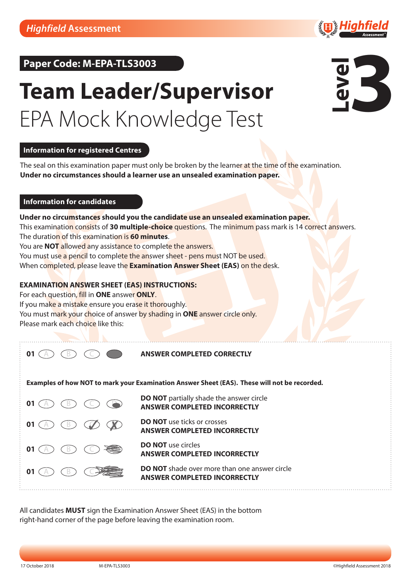

30 June 2017 FSM3009 ©Highfield 2017 30 June 2017 FSM3009 ©Highfield 2017

# **Paper Code: M-EPA-TLS3003**

**Paper Code: FSM3009**

# **Team Leader/Supervisor** EPA Mock Knowledge Test **Feam Leader/Supervisor**

# **Information for registered Centres**

Under no circumstances should a learner use an unsealed examination paper. **The examination of the examination The seal on this examination paper must only be broken by the learner at the time of the examination.** 

# **Information for candidates Information for candidates**

Under no circu<mark>m</mark>stances should you the candidate use an unsealed examination pa<mark>per.</mark> This examinatio<mark>n consi</mark>sts of **30 multiple-choice** questions. The m<mark>inimum p</mark>ass mark is 14 correct <mark>ans</mark>wers. The duratio<mark>n o</mark>f this examinatio<mark>n is **60 minutes**. The 45 questions of the 45 questions of the 45 questions. The 45 questions of the 45 questions of the 45 questions. The 45 questions of the 45 questions of the 45 questi</mark> You are **NOT** allowe<mark>d</mark> any assist<mark>ance t</mark>o complet<mark>e the answers.</mark> You must us<mark>e a penci</mark>l to comple<mark>te the an</mark>swer sh<mark>eet - pens mu</mark>st NOT <mark>be used</mark>. When co<mark>mpleted, pl</mark>ease leave th<mark>e **Examination Answer Sheet (EAS**) on the de</mark>sk.

**ANSWER COMPLETED CORRECTLY**

# **EXAMINATION ANSWER SHEET (EAS) INSTRUCTIONS:**

 $\begin{array}{l} \text{For each question, fill in **ONE** answer **ONLY**. \end{array}$ 

If you ma<mark>ke a</mark> mis<mark>take</mark> ensure you era<mark>se it thoro</mark>ughly.

You must m<mark>ark yo</mark>ur <mark>ch</mark>oice of answer <mark>by shadin</mark>g in **ONE** answer circle only.

**You mark each choice like this:** ONE and the shading in the shading in  $\mathbb{R}$ 

 $01$   $(A)$ 

| Examples of how NOT to mark your Examination Answer Sheet (EAS). These will not be recorded. |                                                                                             |
|----------------------------------------------------------------------------------------------|---------------------------------------------------------------------------------------------|
|                                                                                              | <b>DO NOT</b> partially shade the answer circle<br><b>ANSWER COMPLETED INCORRECTLY</b>      |
|                                                                                              | <b>DO NOT</b> use ticks or crosses<br><b>ANSWER COMPLETED INCORRECTLY</b>                   |
|                                                                                              | <b>DO NOT</b> use circles<br><b>ANSWER COMPLETED INCORRECTLY</b>                            |
|                                                                                              | <b>DO NOT</b> shade over more than one answer circle<br><b>ANSWER COMPLETED INCORRECTLY</b> |

All candidates **MUST** sign the Examination Answer Sheet (EAS) in the bottom All candidates **MUST** sign the Examination Answer Sheet (EAS) in the bottom right-hand corner of the page before leaving the examination room. right-hand corner of the page before leaving the examination room.



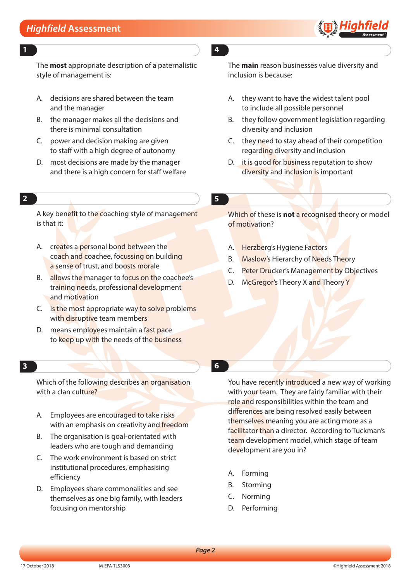

The **most** appropriate description of a paternalistic style of management is:

- A. decisions are shared between the team and the manager
- B. the manager makes all the decisions and there is minimal consultation
- C. power and decision making are given to staff with a high degree of autonomy
- D. most decisions are made by the manager and there is a high concern for staff welfare
- 

A key benefit to the coaching style of management is that it:

- A. creates a personal bond between the coach and coachee, focussing on building a sense of trust, and boosts morale
- B. allows the manager to focus on the coachee's training needs, professional development and motivation
- C. is the most appropriate way to solve problems with disruptive team members
- D. means employees maintain a fast pace to keep up with the needs of the business
- **3 6**

Which of the following describes an organisation with a clan culture?

- A. Employees are encouraged to take risks with an emphasis on creativity and freedom
- B. The organisation is goal-orientated with leaders who are tough and demanding
- C. The work environment is based on strict institutional procedures, emphasising efficiency
- D. Employees share commonalities and see themselves as one big family, with leaders focusing on mentorship

The **main** reason businesses value diversity and inclusion is because:

- A. they want to have the widest talent pool to include all possible personnel
- B. they follow government legislation regarding diversity and inclusion
- C. they need to stay ahead of their competition regarding diversity and inclusion
- D. it is good for business reputation to show diversity and inclusion is important

**2 5**

Which of these is **not** a recognised theory or model of motivation?

- A. Herzberg's Hygiene Factors
- B. Maslow's Hierarchy of Needs Theory
- C. Peter Drucker's Management by Objectives
- D. McGregor's Theory X and Theory Y

You have recently introduced a new way of working with your team. They are fairly familiar with their role and responsibilities within the team and differences are being resolved easily between themselves meaning you are acting more as a facilitator than a director. According to Tuckman's team development model, which stage of team development are you in?

- A. Forming
- B. Storming
- C. Norming
- D. Performing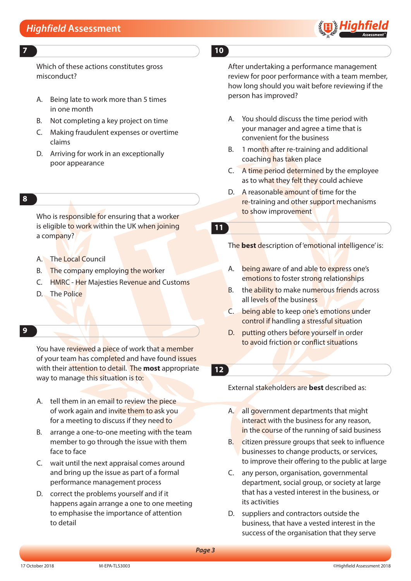# *Highfield* **Assessment**



Which of these actions constitutes gross misconduct?

- A. Being late to work more than 5 times in one month
- B. Not completing a key project on time
- C. Making fraudulent expenses or overtime claims
- D. Arriving for work in an exceptionally poor appearance
- **8**

Who is responsible for ensuring that a worker **Example 20** to show improvement is eligible to work within the UK when joining a company?

- A. The Local Council
- B. The company employing the worker
- C. HMRC Her Majesties Revenue and Customs
- D. The Police

**9**

You have reviewed a piece of work that a member of your team has completed and have found issues with their attention to detail. The **most** appropriate way to manage this situation is to:

- A. tell them in an email to review the piece of work again and invite them to ask you for a meeting to discuss if they need to
- B. arrange a one-to-one meeting with the team member to go through the issue with them face to face
- C. wait until the next appraisal comes around and bring up the issue as part of a formal performance management process
- D. correct the problems yourself and if it happens again arrange a one to one meeting to emphasise the importance of attention to detail

# **7 10**

After undertaking a performance management review for poor performance with a team member, how long should you wait before reviewing if the person has improved?

- A. You should discuss the time period with your manager and agree a time that is convenient for the business
- B. 1 month after re-training and additional coaching has taken place
- C. A time period determined by the employee as to what they felt they could achieve
- D. A reasonable amount of time for the re-training and other support mechanisms

**11**

The **best** description of 'emotional intelligence' is:

- A. being aware of and able to express one's emotions to foster strong relationships
- B. the ability to make numerous friends across all levels of the business
- C. being able to keep one's emotions under control if handling a stressful situation
- D. putting others before yourself in order to avoid friction or conflict situations

**12**

External stakeholders are **best** described as:

- A. all government departments that might interact with the business for any reason, in the course of the running of said business
- B. citizen pressure groups that seek to influence businesses to change products, or services, to improve their offering to the public at large
- C. any person, organisation, governmental department, social group, or society at large that has a vested interest in the business, or its activities
- D. suppliers and contractors outside the business, that have a vested interest in the success of the organisation that they serve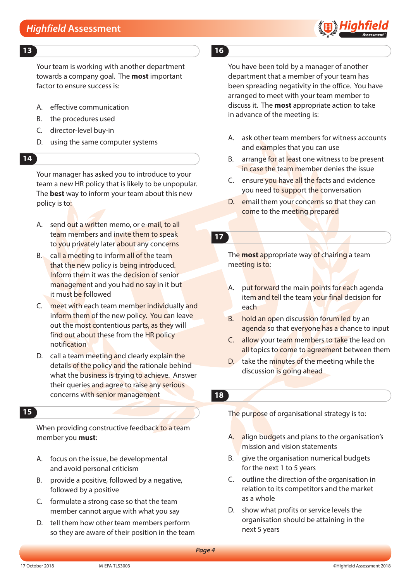

# **13 16**

Your team is working with another department towards a company goal. The **most** important factor to ensure success is:

- A. effective communication
- B. the procedures used
- C. director-level buy-in
- D. using the same computer systems

### **14**

Your manager has asked you to introduce to your team a new HR policy that is likely to be unpopular. The **best** way to inform your team about this new policy is to:

- A. send out a written memo, or e-mail, to all team members and invite them to speak to you privately later about any concerns
- B. call a meeting to inform all of the team that the new policy is being introduced. Inform them it was the decision of senior management and you had no say in it but it must be followed
- C. meet with each team member individually and inform them of the new policy. You can leave out the most contentious parts, as they will find out about these from the HR policy notification
- D. call a team meeting and clearly explain the details of the policy and the rationale behind what the business is trying to achieve. Answer their queries and agree to raise any serious concerns with senior management

# **15**

When providing constructive feedback to a team member you **must**:

- A. focus on the issue, be developmental and avoid personal criticism
- B. provide a positive, followed by a negative, followed by a positive
- C. formulate a strong case so that the team member cannot argue with what you say
- D. tell them how other team members perform so they are aware of their position in the team

You have been told by a manager of another department that a member of your team has been spreading negativity in the office. You have arranged to meet with your team member to discuss it. The **most** appropriate action to take in advance of the meeting is:

- A. ask other team members for witness accounts and examples that you can use
- B. arrange for at least one witness to be present in case the team member denies the issue
- C. ensure you have all the facts and evidence you need to support the conversation
- D. email them your concerns so that they can come to the meeting prepared

**17**

The **most** appropriate way of chairing a team meeting is to:

- A. put forward the main points for each agenda item and tell the team your final decision for each
- B. hold an open discussion forum led by an agenda so that everyone has a chance to input
- C. allow your team members to take the lead on all topics to come to agreement between them
- D. take the minutes of the meeting while the discussion is going ahead

**18**

The purpose of organisational strategy is to:

- A. align budgets and plans to the organisation's mission and vision statements
- B. give the organisation numerical budgets for the next 1 to 5 years
- C. outline the direction of the organisation in relation to its competitors and the market as a whole
- D. show what profits or service levels the organisation should be attaining in the next 5 years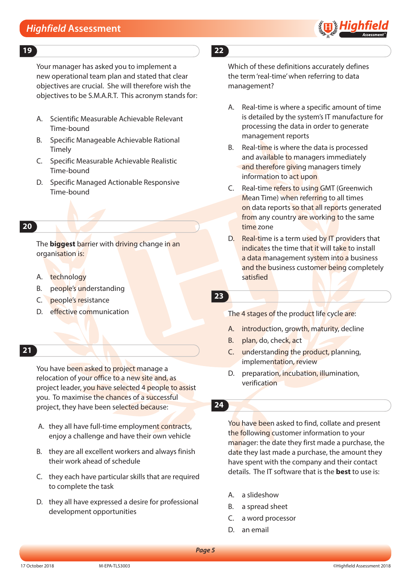# *Highfield* **Assessment**



### **19 22**

Your manager has asked you to implement a new operational team plan and stated that clear objectives are crucial. She will therefore wish the objectives to be S.M.A.R.T. This acronym stands for:

- A. Scientific Measurable Achievable Relevant Time-bound
- B. Specific Manageable Achievable Rational Timely
- C. Specific Measurable Achievable Realistic Time-bound
- D. Specific Managed Actionable Responsive Time-bound

### **20**

The **biggest** barrier with driving change in an organisation is:

- A. technology
- B. people's understanding
- C. people's resistance
- 

# **21**

You have been asked to project manage a relocation of your office to a new site and, as project leader, you have selected 4 people to assist you. To maximise the chances of a successful project, they have been selected because:

- A. they all have full-time employment contracts, enjoy a challenge and have their own vehicle
- B. they are all excellent workers and always finish their work ahead of schedule
- C. they each have particular skills that are required to complete the task
- D. they all have expressed a desire for professional development opportunities

Which of these definitions accurately defines the term 'real-time' when referring to data management?

- A. Real-time is where a specific amount of time is detailed by the system's IT manufacture for processing the data in order to generate management reports
- B. Real-time is where the data is processed and available to managers immediately and therefore giving managers timely information to act upon
- C. Real-time refers to using GMT (Greenwich Mean Time) when referring to all times on data reports so that all reports generated from any country are working to the same time zone
- D. Real-time is a term used by IT providers that indicates the time that it will take to install a data management system into a business and the business customer being completely satisfied

**23**

D. effective communication D. Communication The 4 stages of the product life cycle are:

- A. introduction, growth, maturity, decline
- B. plan, do, check, act
- C. understanding the product, planning, implementation, review
- D. preparation, incubation, illumination, verification

**24**

You have been asked to find, collate and present the following customer information to your manager: the date they first made a purchase, the date they last made a purchase, the amount they have spent with the company and their contact details. The IT software that is the **best** to use is:

- A. a slideshow
- B. a spread sheet
- C. a word processor
- D. an email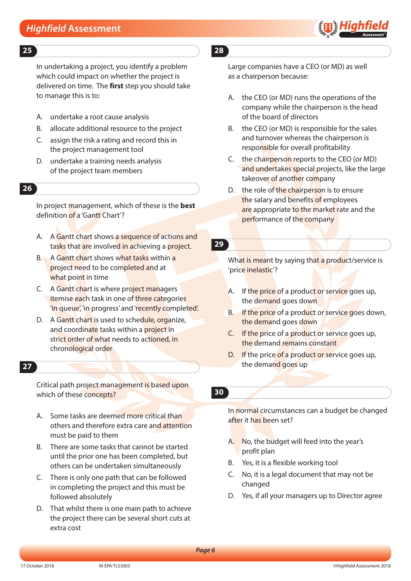# *Highfield* **Assessment**



## **25 28**

In undertaking a project, you identify a problem which could impact on whether the project is delivered on time. The **first** step you should take to manage this is to:

- A. undertake a root cause analysis
- B. allocate additional resource to the project
- C. assign the risk a rating and record this in the project management tool
- D. undertake a training needs analysis of the project team members
- **26**

In project management, which of these is the **best** definition of a 'Gantt Chart'?

- A. A Gantt chart shows a sequence of actions and tasks that are involved in achieving a project.
- B. A Gantt chart shows what tasks within a project need to be completed and at what point in time
- C. A Gantt chart is where project managers itemise each task in one of three categories 'in queue', 'in progress' and 'recently completed'.
- D. A Gantt chart is used to schedule, organize, and coordinate tasks within a project in strict order of what needs to actioned, in chronological order

**27**

Critical path project management is based upon which of these concepts?

- A. Some tasks are deemed more critical than others and therefore extra care and attention must be paid to them
- B. There are some tasks that cannot be started until the prior one has been completed, but others can be undertaken simultaneously
- C. There is only one path that can be followed in completing the project and this must be followed absolutely
- D. That whilst there is one main path to achieve the project there can be several short cuts at extra cost

Large companies have a CEO (or MD) as well as a chairperson because:

- A. the CEO (or MD) runs the operations of the company while the chairperson is the head of the board of directors
- B. the CEO (or MD) is responsible for the sales and turnover whereas the chairperson is responsible for overall profitability
- C. the chairperson reports to the CEO (or MD) and undertakes special projects, like the large takeover of another company
- D. the role of the chairperson is to ensure the salary and benefits of employees are appropriate to the market rate and the performance of the company

## **29**

What is meant by saying that a product/service is 'price inelastic'?

- A. If the price of a product or service goes up, the demand goes down
- B. If the price of a product or service goes down, the demand goes down
- C. If the price of a product or service goes up, the demand remains constant
- D. If the price of a product or service goes up, the demand goes up

**30**

In normal circumstances can a budget be changed after it has been set?

- A. No, the budget will feed into the year's profit plan
- B. Yes, it is a flexible working tool
- C. No, it is a legal document that may not be changed
- D. Yes, if all your managers up to Director agree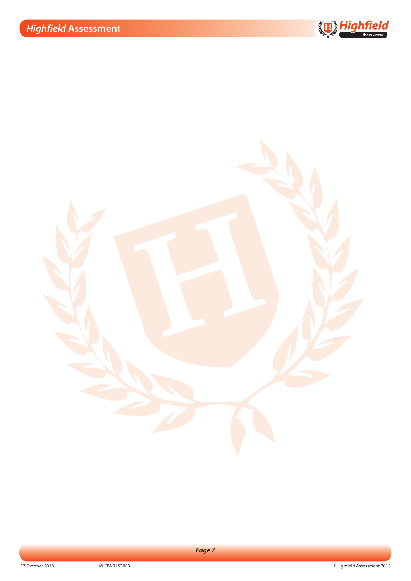